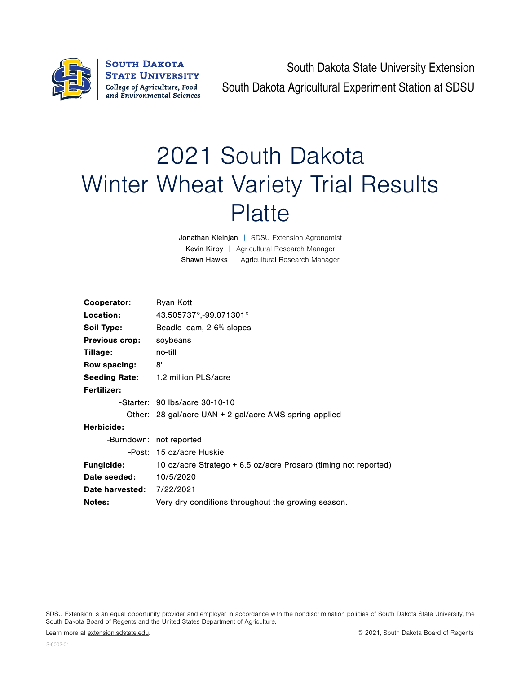

South Dakota State University Extension South Dakota Agricultural Experiment Station at SDSU

## 2021 South Dakota Winter Wheat Variety Trial Results **Platte**

Jonathan Kleinjan | SDSU Extension Agronomist Kevin Kirby | Agricultural Research Manager Shawn Hawks | Agricultural Research Manager

| Cooperator:                      | Ryan Kott                                                         |
|----------------------------------|-------------------------------------------------------------------|
| Location:                        | 43.505737°,-99.071301°                                            |
| Soil Type:                       | Beadle loam, 2-6% slopes                                          |
| <b>Previous crop:</b>            | soybeans                                                          |
| Tillage:                         | no-till                                                           |
| Row spacing:                     | 8"                                                                |
|                                  | Seeding Rate: 1.2 million PLS/acre                                |
| <b>Fertilizer:</b>               |                                                                   |
|                                  | -Starter: 90 lbs/acre 30-10-10                                    |
|                                  | -Other: 28 gal/acre UAN $+$ 2 gal/acre AMS spring-applied         |
| Herbicide:                       |                                                                   |
|                                  | -Burndown: not reported                                           |
|                                  | -Post: 15 oz/acre Huskie                                          |
| <b>Fungicide:</b>                | 10 oz/acre Stratego $+$ 6.5 oz/acre Prosaro (timing not reported) |
| Date seeded:                     | 10/5/2020                                                         |
| <b>Date harvested: 7/22/2021</b> |                                                                   |
| <b>Notes:</b>                    | Very dry conditions throughout the growing season.                |

SDSU Extension is an equal opportunity provider and employer in accordance with the nondiscrimination policies of South Dakota State University, the South Dakota Board of Regents and the United States Department of Agriculture.

Learn more at [extension.sdstate.edu.](http://extension.sdstate.edu) © 2021, South Dakota Board of Regents